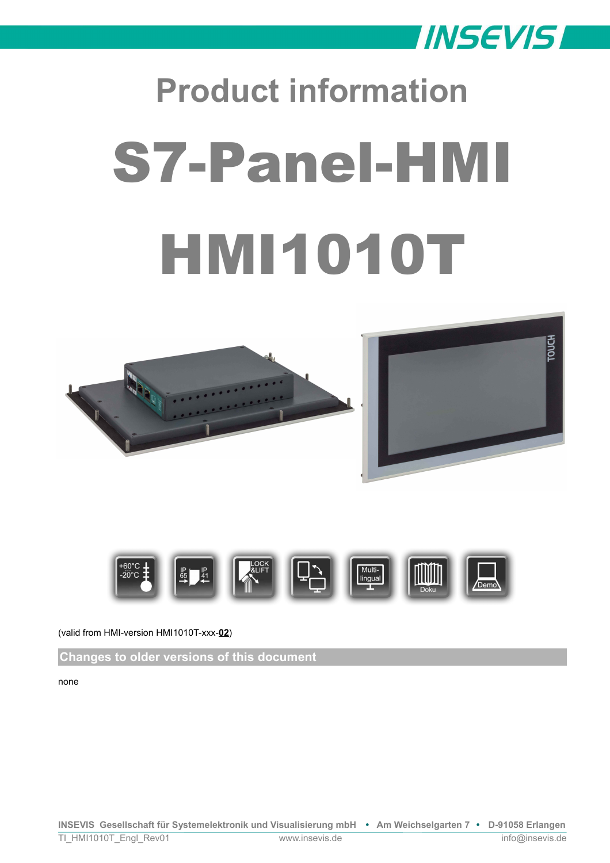

# **Product information** S7-Panel-HMI **HMI1010T**







(valid from HMI-version HMI1010T-xxx-**02**)

**Changes to older versions of this document**

none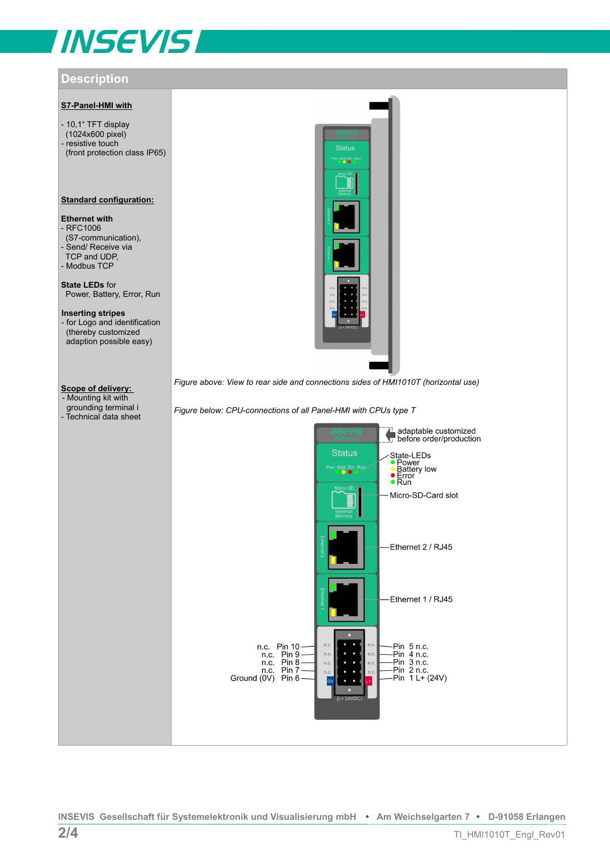# **INSEVIS**

# **Description**

# **S7-Panel-HMI with**

- 10,1" TFT display (1024x600 pixel) - resistive touch (front protection class IP65)

### **Standard configuration:**

# **Ethernet with**

- RFC1006 (S7-communication), - Send/ Receive via TCP and UDP, - Modbus TCP

**State LEDs** for Power, Battery, Error, Run

**Inserting stripes**  - for Logo and identification (thereby customized adaption possible easy)

# **Scope of delivery:**

- Mounting kit with grounding terminal i - Technical data sheet



*Figure above: View to rear side and connections sides of HMI1010T (horizontal use)*

*Figure below: CPU-connections of all Panel-HMI with CPUs type T*

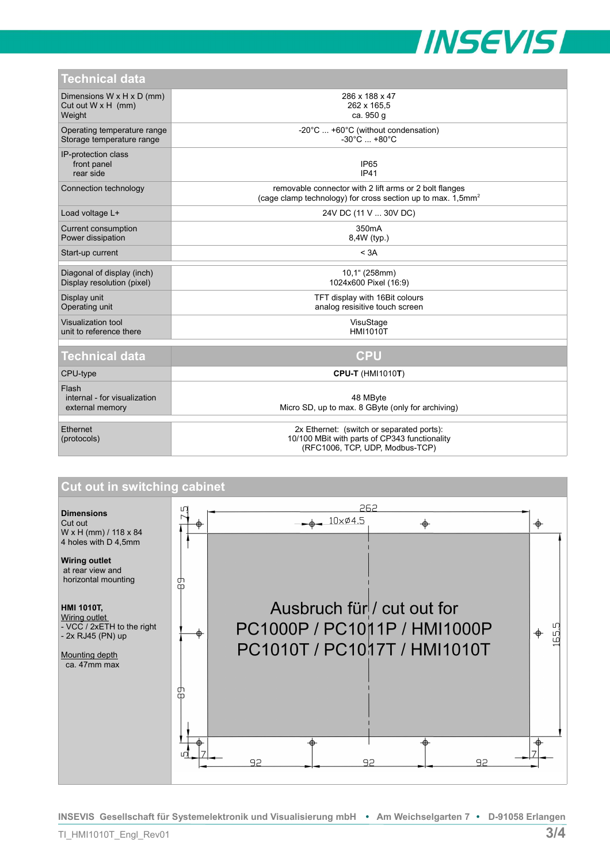

| <b>Technical data</b> |  |  |
|-----------------------|--|--|
|                       |  |  |

| TULITILAI UALA                                                               |                                                                                                                                      |  |  |
|------------------------------------------------------------------------------|--------------------------------------------------------------------------------------------------------------------------------------|--|--|
| Dimensions $W \times H \times D$ (mm)<br>Cut out $W \times H$ (mm)<br>Weight | 286 x 188 x 47<br>262 x 165,5<br>ca. 950 g                                                                                           |  |  |
| Operating temperature range<br>Storage temperature range                     | -20°C  +60°C (without condensation)<br>$-30^{\circ}$ C $+80^{\circ}$ C                                                               |  |  |
| IP-protection class<br>front panel<br>rear side                              | IP <sub>65</sub><br><b>IP41</b>                                                                                                      |  |  |
| Connection technology                                                        | removable connector with 2 lift arms or 2 bolt flanges<br>(cage clamp technology) for cross section up to max. $1,5$ mm <sup>2</sup> |  |  |
| Load voltage L+                                                              | 24V DC (11 V  30V DC)                                                                                                                |  |  |
| Current consumption<br>Power dissipation                                     | 350 <sub>m</sub> A<br>8,4W (typ.)                                                                                                    |  |  |
| Start-up current                                                             | < 3A                                                                                                                                 |  |  |
| Diagonal of display (inch)<br>Display resolution (pixel)                     | 10,1" (258mm)<br>1024x600 Pixel (16:9)                                                                                               |  |  |
| Display unit<br>Operating unit                                               | TFT display with 16Bit colours<br>analog resisitive touch screen                                                                     |  |  |
| Visualization tool<br>unit to reference there                                | VisuStage<br><b>HMI1010T</b>                                                                                                         |  |  |
|                                                                              |                                                                                                                                      |  |  |
| <b>Technical data</b>                                                        | <b>CPU</b>                                                                                                                           |  |  |
| CPU-type                                                                     | <b>CPU-T (HMI1010T)</b>                                                                                                              |  |  |
| Flash<br>internal - for visualization<br>external memory                     | 48 MByte<br>Micro SD, up to max. 8 GByte (only for archiving)                                                                        |  |  |
| Ethernet<br>(protocols)                                                      | 2x Ethernet: (switch or separated ports):<br>10/100 MBit with parts of CP343 functionality<br>(RFC1006, TCP, UDP, Modbus-TCP)        |  |  |



**INSEVIS Gesellschaft für Systemelektronik und Visualisierung mbH • Am Weichselgarten 7 • D-91058 Erlangen**